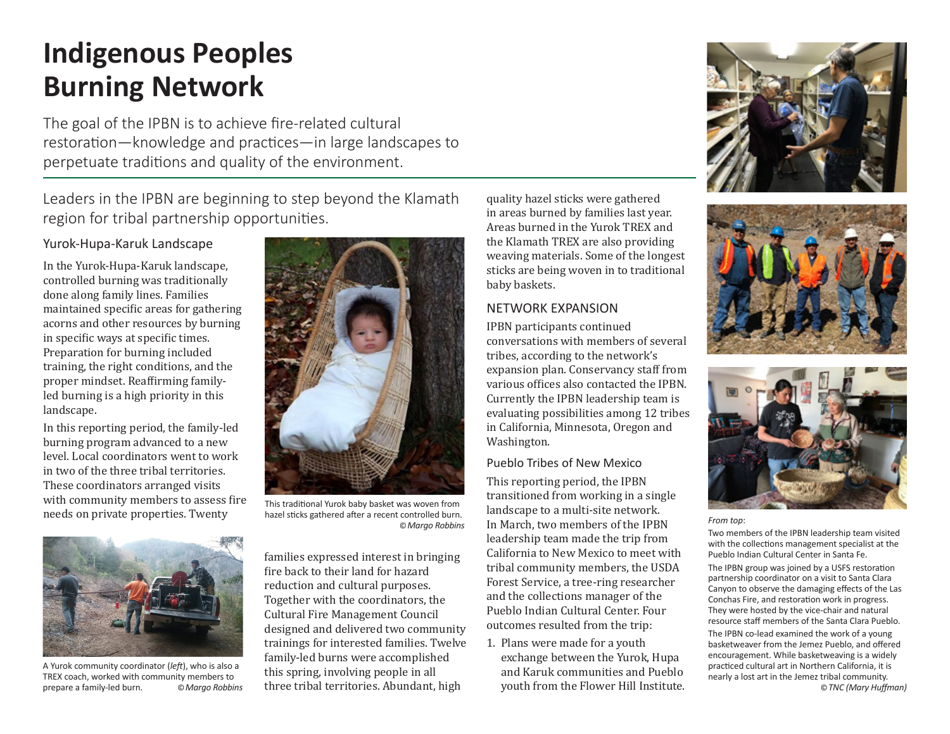# **Indigenous Peoples Burning Network**

The goal of the IPBN is to achieve fire-related cultural restoration—knowledge and practices—in large landscapes to perpetuate traditions and quality of the environment.

Leaders in the IPBN are beginning to step beyond the Klamath region for tribal partnership opportunities.

## Yurok-Hupa-Karuk Landscape

In the Yurok-Hupa-Karuk landscape, controlled burning was traditionally done along family lines. Families maintained specific areas for gathering acorns and other resources by burning in specific ways at specific times. Preparation for burning included training, the right conditions, and the proper mindset. Reaffirming familyled burning is a high priority in this landscape.

In this reporting period, the family-led burning program advanced to a new level. Local coordinators went to work in two of the three tribal territories. These coordinators arranged visits with community members to assess fire needs on private properties. Twenty



This traditional Yurok baby basket was woven from hazel sticks gathered after a recent controlled burn.



A Yurok community coordinator (*left*), who is also a TREX coach, worked with community members to prepare a family-led burn. ©*Margo Robbins*

families expressed interest in bringing fire back to their land for hazard reduction and cultural purposes. Together with the coordinators, the Cultural Fire Management Council designed and delivered two community trainings for interested families. Twelve family-led burns were accomplished this spring, involving people in all three tribal territories. Abundant, high

quality hazel sticks were gathered in areas burned by families last year. Areas burned in the Yurok TREX and the Klamath TREX are also providing weaving materials. Some of the longest sticks are being woven in to traditional baby baskets.

## NETWORK EXPANSION

IPBN participants continued conversations with members of several tribes, according to the network's expansion plan. Conservancy staff from various offices also contacted the IPBN. Currently the IPBN leadership team is evaluating possibilities among 12 tribes in California, Minnesota, Oregon and Washington.

## Pueblo Tribes of New Mexico

This reporting period, the IPBN transitioned from working in a single landscape to a multi-site network. In March, two members of the IPBN ©*Margo Robbins From top*: leadership team made the trip from California to New Mexico to meet with tribal community members, the USDA Forest Service, a tree-ring researcher and the collections manager of the Pueblo Indian Cultural Center. Four outcomes resulted from the trip:

> 1. Plans were made for a youth exchange between the Yurok, Hupa and Karuk communities and Pueblo youth from the Flower Hill Institute.







Two members of the IPBN leadership team visited with the collections management specialist at the Pueblo Indian Cultural Center in Santa Fe.

The IPBN group was joined by a USFS restoration partnership coordinator on a visit to Santa Clara Canyon to observe the damaging effects of the Las Conchas Fire, and restoration work in progress. They were hosted by the vice-chair and natural resource staff members of the Santa Clara Pueblo.

The IPBN co-lead examined the work of a young basketweaver from the Jemez Pueblo, and offered encouragement. While basketweaving is a widely practiced cultural art in Northern California, it is nearly a lost art in the Jemez tribal community. ©*TNC (Mary Huffman)*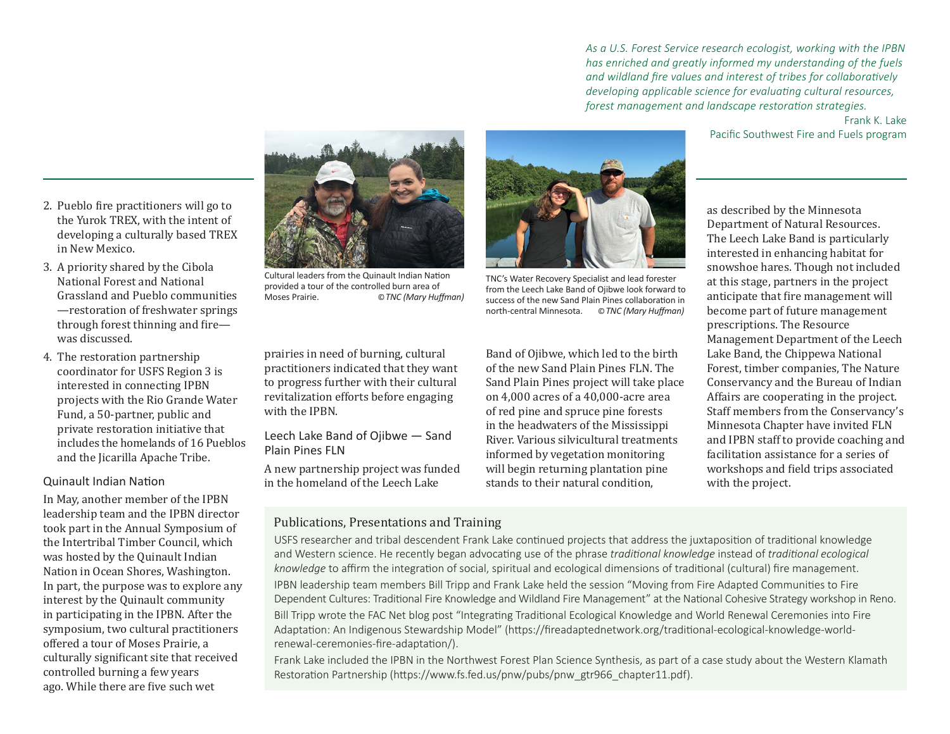*As a U.S. Forest Service research ecologist, working with the IPBN has enriched and greatly informed my understanding of the fuels and wildland fire values and interest of tribes for collaboratively developing applicable science for evaluating cultural resources, forest management and landscape restoration strategies.*

> Frank K. Lake Pacific Southwest Fire and Fuels program

- 2. Pueblo fire practitioners will go to the Yurok TREX, with the intent of developing a culturally based TREX in New Mexico.
- 3. A priority shared by the Cibola National Forest and National Grassland and Pueblo communities —restoration of freshwater springs through forest thinning and fire was discussed.
- 4. The restoration partnership coordinator for USFS Region 3 is interested in connecting IPBN projects with the Rio Grande Water Fund, a 50-partner, public and private restoration initiative that includes the homelands of 16 Pueblos and the Jicarilla Apache Tribe.

#### Quinault Indian Nation

In May, another member of the IPBN leadership team and the IPBN director took part in the Annual Symposium of the Intertribal Timber Council, which was hosted by the Quinault Indian Nation in Ocean Shores, Washington. In part, the purpose was to explore any interest by the Quinault community in participating in the IPBN. After the symposium, two cultural practitioners offered a tour of Moses Prairie, a culturally significant site that received controlled burning a few years ago. While there are five such wet



Cultural leaders from the Quinault Indian Nation provided a tour of the controlled burn area of<br>Moses Prairie  $\odot$  TNC (Mary Huffman)

prairies in need of burning, cultural practitioners indicated that they want to progress further with their cultural revitalization efforts before engaging with the IPBN.

#### Leech Lake Band of Ojibwe — Sand Plain Pines FLN

A new partnership project was funded in the homeland of the Leech Lake

Band of Ojibwe, which led to the birth of the new Sand Plain Pines FLN. The Sand Plain Pines project will take place on 4,000 acres of a 40,000-acre area of red pine and spruce pine forests in the headwaters of the Mississippi River. Various silvicultural treatments informed by vegetation monitoring will begin returning plantation pine stands to their natural condition,

TNC's Water Recovery Specialist and lead forester from the Leech Lake Band of Ojibwe look forward to success of the new Sand Plain Pines collaboration in north-central Minnesota. ©*TNC (Mary Huffman)*

as described by the Minnesota Department of Natural Resources. The Leech Lake Band is particularly interested in enhancing habitat for snowshoe hares. Though not included at this stage, partners in the project anticipate that fire management will become part of future management prescriptions. The Resource Management Department of the Leech Lake Band, the Chippewa National Forest, timber companies, The Nature Conservancy and the Bureau of Indian Affairs are cooperating in the project. Staff members from the Conservancy's Minnesota Chapter have invited FLN and IPBN staff to provide coaching and facilitation assistance for a series of workshops and field trips associated with the project.

## Publications, Presentations and Training

USFS researcher and tribal descendent Frank Lake continued projects that address the juxtaposition of traditional knowledge and Western science. He recently began advocating use of the phrase *traditional knowledge* instead of *traditional ecological knowledge* to affirm the integration of social, spiritual and ecological dimensions of traditional (cultural) fire management. IPBN leadership team members Bill Tripp and Frank Lake held the session "Moving from Fire Adapted Communities to Fire Dependent Cultures: Traditional Fire Knowledge and Wildland Fire Management" at the National Cohesive Strategy workshop in Reno. Bill Tripp wrote the FAC Net blog post "Integrating Traditional Ecological Knowledge and World Renewal Ceremonies into Fire Adaptation: An Indigenous Stewardship Model" (https://fireadaptednetwork.org/traditional-ecological-knowledge-worldrenewal-ceremonies-fire-adaptation/).

Frank Lake included the IPBN in the Northwest Forest Plan Science Synthesis, as part of a case study about the Western Klamath Restoration Partnership (https://www.fs.fed.us/pnw/pubs/pnw\_gtr966\_chapter11.pdf).